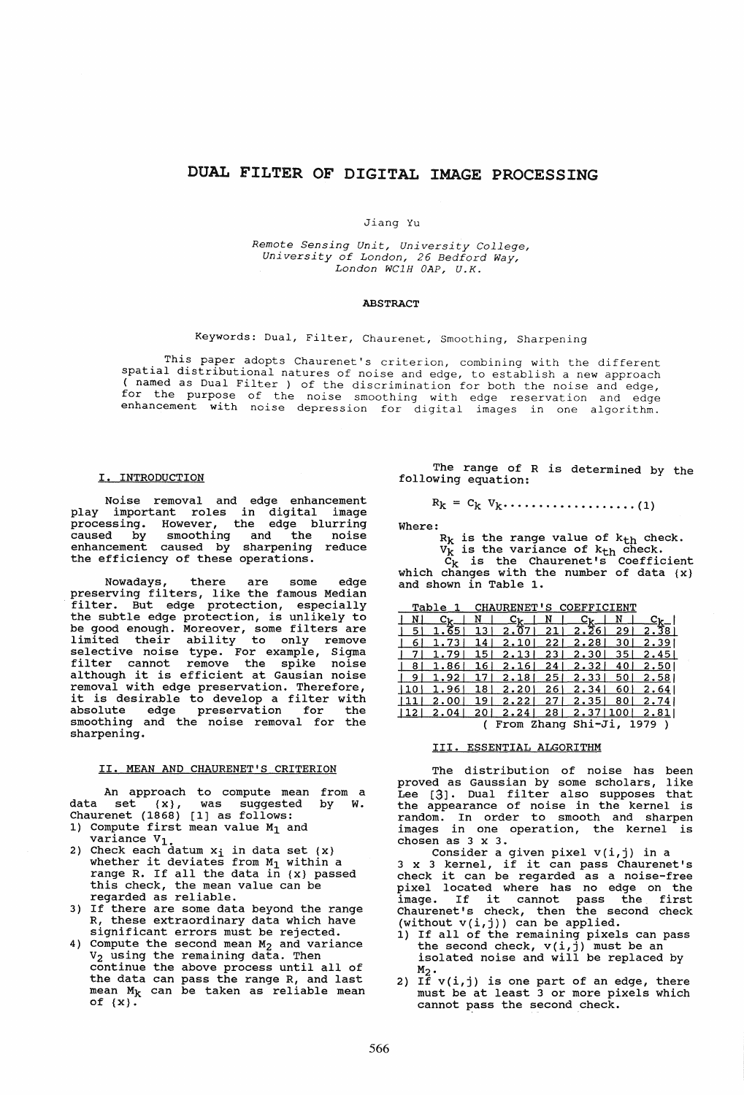# DUAL FILTER OF DIGITAL IMAGE PROCESSING

### Jiang Yu

*Remote Sensing Unit, University College, University of London,* 26 *Bedford Way, London WClR OAP, U.K.* 

## ABSTRACT

# Keywords: Dual, Filter, Chaurenet, Smoothing, Sharpening

This paper adopts Chaurenet's criterion, combining with the different spatial distributional natures of noise and edge, to establish a new approach ( named as Dual Filter ) of the discrimination for both the noise and edge, for the purpose of the noise smoothing with edge reservation and edge enhancement with noise depression for digital images in one algorithm.

## I. INTRODUCTION

Noise removal and edge enhancement play important roles in digital image processing. However, the edge blurring caused by smoothing and the noise<br>enhancement caused by sharpening reduce enhancement caused by the efficiency of these operations.

Nowadays, there are some edge preserving filters, like the famous Median preserving filters, fike the famous hedian<br>filter. But edge protection, especially the subtle edge protection, especially<br>the subtle edge protection, is unlikely to be good enough. Moreover, some filters are limited their ability to only remove selective noise type. For example, Sigma filter cannot remove the spike noise although it is efficient at Gausian noise removal with edge preservation. Therefore, removal with edge preservation. Therefore,<br>it is desirable to develop a filter with absolute edge preservation for the smoothing and the noise removal for the sharpening.

# II. MEAN AND CHAURENET'S CRITERION

An approach to compute mean from a<br>set  $\{x\}$ , was suggested by W. data set  $\{x\}$ , was suggested by W. Chaurenet (1868) [1] as follows:

- 1) Compute first mean value  $M_1$  and
- variance  $V_1$ .<br>2) Check each datum  $x_i$  in data set  $\{x\}$ Check each datum  $x_1$  in data set  $\{x\}$  whether it deviates from  $M_1$  within a whether it deviates from  $H_1$  within a<br>range R. If all the data in {x} passed this check, the mean value can be regarded as reliable.
- 3) If there are some data beyond the range R, these extraordinary data which have significant errors must be rejected.
- 4) Compute the second mean  $M_2$  and variance V2 using the remaining data. Then continue the above process until all of the data can pass the range R, and last mean  $M_k$  can be taken as reliable mean of  $\{x\}$ .

The range of R is determined by the following equation:

Rk = Ck Vk···.·· ............. (1)

$$
f_{\mathcal{A}}(x) = \frac{1}{2} \sum_{i=1}^n \frac{1}{2} \sum_{i=1}^n \frac{1}{2} \sum_{i=1}^n \frac{1}{2} \sum_{i=1}^n \frac{1}{2} \sum_{i=1}^n \frac{1}{2} \sum_{i=1}^n \frac{1}{2} \sum_{i=1}^n \frac{1}{2} \sum_{i=1}^n \frac{1}{2} \sum_{i=1}^n \frac{1}{2} \sum_{i=1}^n \frac{1}{2} \sum_{i=1}^n \frac{1}{2} \sum_{i=1}^n \frac{1}{2} \sum_{i=1}^n \frac{1}{2} \sum_{i=1}^n \frac{1}{2} \sum_{i=1}^n \frac{1}{2} \sum_{i=1}^n \frac{1}{2} \sum_{i=1}^n \frac{1}{2} \sum_{i=1}^n \frac{1}{2} \sum_{i=1}^n \frac{1}{2} \sum_{i=1}^n \frac{1}{2} \sum_{i=1}^n \frac{1}{2} \sum_{i=1}^n \frac{1}{2} \sum_{i=1}^n \frac{1}{2} \sum_{i=1}^n \frac{1}{2} \sum_{i=1}^n \frac{1}{2} \sum_{i=1}^n \frac{1}{2} \sum_{i=1}^n \frac{1}{2} \sum_{i=1}^n \frac{1}{2} \sum_{i=1}^n \frac{1}{2} \sum_{i=1}^n \frac{1}{2} \sum_{i=1}^n \frac{1}{2} \sum_{i=1}^n \frac{1}{2} \sum_{i=1}^n \frac{1}{2} \sum_{i=1}^n \frac{1}{2} \sum_{i=1}^n \frac{1}{2} \sum_{i=1}^n \frac{1}{2} \sum_{i=1}^n \frac{1}{2} \sum_{i=1}^n \frac{1}{2} \sum_{i=1}^n \frac{1}{2} \sum_{i=1}^n \frac{1}{2} \sum_{i=1}^n \frac{1}{2} \sum_{i=1}^n \frac{1}{2} \sum_{i=1}^n \frac{1}{2} \sum_{i=1}^n \frac{1}{2} \sum_{i=1}^n \frac{1}{2} \sum_{i=1}^n \frac{1}{2} \sum_{i
$$

Where:  $R_k$  is the range value of  $k_{th}$  check.

 $V_k$  is the variance of  $k_{th}$  check.

 $C_k$  is the Chaurenet's Coefficient which changes with the number of data {x} and shown in Table 1.

|                    | Table |     | CHAURENET'S COEFFICIENT   |      |       |     |                             |
|--------------------|-------|-----|---------------------------|------|-------|-----|-----------------------------|
|                    | Съ    |     | $\mathbf{c}_{\mathbf{k}}$ | N    | _Ըթ   | N   | $\mathbf{c}_{\mathbf{k}_-}$ |
| 5                  | 1.65  | 13  | 2.07                      | 21   | 2.26  | 29  | 2.38                        |
| 6                  | 1.73  | 14  | 2.10                      | 221  | 2.28  | 30  | 2.39                        |
|                    | 1.79  | 151 | 2.13                      | 23.  | 2.30  | 35  | 2.451                       |
| 8                  | 1.86  | 16  | 2.16                      | 24   | 2.32  | 40  | 2.501                       |
| 9                  | 1.92  | 17  | 2.18                      | 25 I | 2.33  | 50  | 2.58                        |
| 110                | 1.96  | 18  | 2.20                      | 261  | 2.341 | 60  | 2.64                        |
| 11                 | 2.00  | 19  | 2.22                      | 27 I | 2.35  | 80  | 2.74                        |
| $ 12\rangle$       | 2.04  | 20  | 2.24                      | 281  | 2.37  | 100 | 2.811                       |
| From Zhang Shi-Ji, |       |     |                           |      |       |     | 1979                        |

III. ESSENTIAL ALGORITHM

The distribution of noise has been proved as Gaussian by some scholars, like Lee [3]. Dual filter also supposes that Lec (0). Badi fired dies employees that<br>the appearance of noise in the kernel is random. In order to smooth and sharpen images in one operation, the kernel is chosen as 3 x 3.

Consider a given pixel v(i,j) in a 3 x 3 kernel, if it can pass Chaurenet's 3 X 3 Kernei, it it can pass chaurenet's<br>check it can be regarded as a noise-free pixel located where has no edge on the pixel located where has no edge on the<br>image. If it cannot pass the first mage. It is cannot pass the first  $($ without v(i,j)) can be applied.<br>
1) If all of the remaining pixels can pass

- the second check,  $v(i, j)$  must be an isolated noise and will be replaced by
- $\begin{array}{c} \mathtt{M}_2\cdot\\\mathtt{2)}\end{array}$  If  $\mathtt{v}(\mathtt{i},\mathtt{j})$  is one part of an edge, there If  $v(1, y)$  is one part of an eage, there<br>must be at least 3 or more pixels which must be at least 3 or more pixels which<br>cannot pass the second check.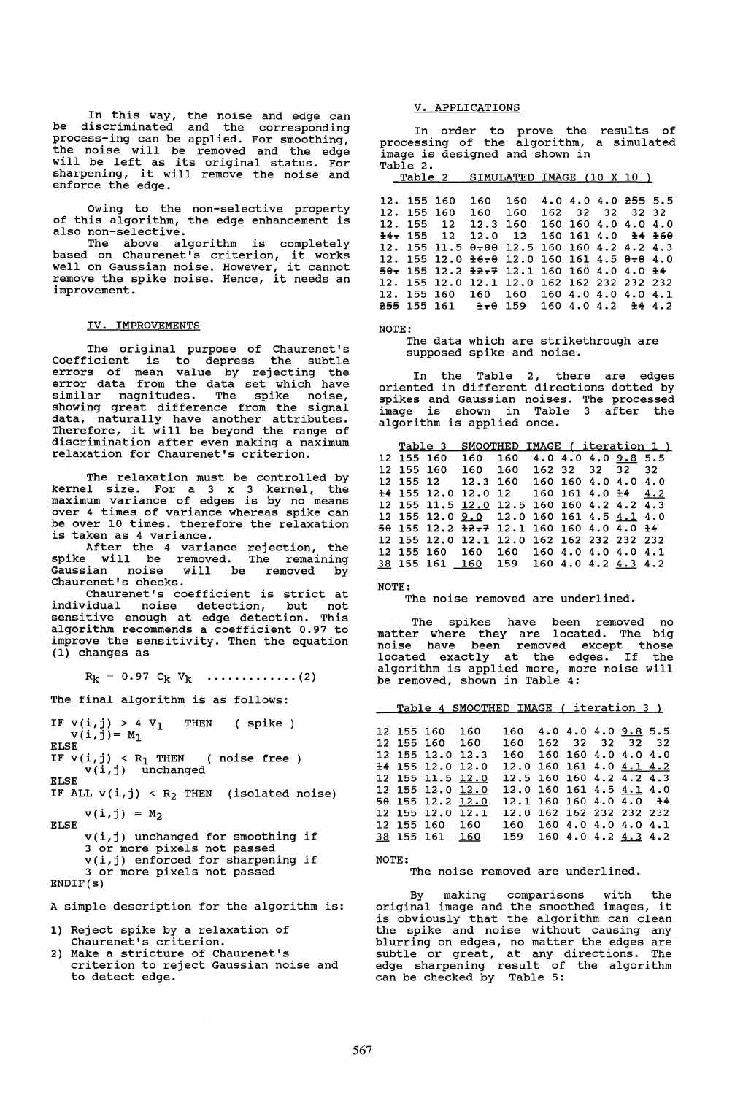In this way, the noise and edge can be discriminated and the corresponding process-ing can be applied. For smoothing, the noise will be removed and the edge will be left as its original status. For sharpening, it will remove the noise and enforce the edge.

Owing to the non-selective property of this algorithm, the edge enhancement is also non-selective.

The above algorithm is completely<br>based on Chaurenet's criterion, it works Dased on Chaurenet's Criterion, it works<br>well on Gaussian noise. However, it cannot<br>remove the spike noise. Hence, it needs an<br>improvement.

#### IV. IMPROVEMENTS

The original purpose of Chaurenet's<br>Coefficient is to depress the subtle<br>errors of mean value by rejecting the<br>error data from the data set which have<br>similar magnitudes similar magni tudes. The spike noise, showing great difference from the signal data, naturally have another attributes. Therefore, it will be beyond the range of discrimination after even making a maximum relaxation for Chaurenet's criterion.

The relaxation must be controlled by kernel size. For a 3 x 3 kernel, the maximum variance of edges is by no means<br>over 4 times of variance whereas spike can<br>be over 10 times. therefore the relaxation be over 10 times. therefore the relaxation<br>is taken as 4 variance.

After the 4 variance rejection, the spike will be removed. The remaining Gaussian noise will be removed by Chaurenet's checks.

Chaurenet's coefficient is strict at individual noise detection, but not sensitive enough at edge detection. This algorithm recommends a coefficient 0.97 to improve the sensitivity. Then the equation (1) changes as

 $R_k = 0.97 C_k V_k \dots \dots \dots \dots (2)$ 

The final algorithm is as follows:

IF  $v(i, j) > 4$  V<sub>1</sub> THEN (spike)  $v(i, j) = M_1$ ELSE IF  $v(i,j) < R_1$  THEN ( noise free x(i,j) unchanged ELSE IF ALL  $v(i, j) < R_2$  THEN (isolated noise)  $v(i, j) = M_2$ <br>ELSE v(i,j) unchanged for smoothing if 3 or more pixels not passed v(i,j) enforced for sharpening if 3 or more pixels not passed

ENDIF(s)

A simple description for the algorithm is:

- 1) Reject spike by a relaxation of Chaurenet's criterion.
- 2) Make a stricture of Chaurenet's criterion to reject Gaussian noise and to detect edge.

## V. APPLICATIONS

In order to prove the In order to prove the results of<br>processing of the algorithm, a simulated image is designed and shown in

Table 2.<br>Table 2 SIMULATED IMAGE (10 X 10 )

| 12. 155 160          | 160 160                                                  |                                                    |  | 4.0 4.0 4.0 255 5.5 |  |
|----------------------|----------------------------------------------------------|----------------------------------------------------|--|---------------------|--|
| 12. 155 160          | 160                                                      | 160                                                |  | 162 32 32 32 32     |  |
| 12. 155 12           | 12.3 160                                                 |                                                    |  | 160 160 4.0 4.0 4.0 |  |
| $\pm 4$ $\pm 155$ 12 |                                                          | $12.0$ 12 160 161 4.0 <del>14</del> <del>160</del> |  |                     |  |
|                      | 12. 155 11.5 0-00 12.5 160 160 4.2 4.2 4.3               |                                                    |  |                     |  |
|                      | 12. 155 12.0 $\pm$ 6-0 12.0 160 161 4.5 8-0 4.0          |                                                    |  |                     |  |
|                      | $50 - 155$ 12.2 $\pm 2 - 7$ 12.1 160 160 4.0 4.0 $\pm 4$ |                                                    |  |                     |  |
|                      | 12. 155 12.0 12.1 12.0 162 162 232 232 232               |                                                    |  |                     |  |
|                      | 12. 155 160 160 160 160 4.0 4.0 4.0 4.1                  |                                                    |  |                     |  |
|                      | $255$ 155 161 $\pm$ $\pm$ 0 159 160 4.0 4.2 $\pm$ 4.2    |                                                    |  |                     |  |
|                      |                                                          |                                                    |  |                     |  |

NOTE:

The data which are strikethrough are supposed spike and noise.

In the Table 2, there are edges oriented in different directions dotted by spikes and Gaussian noises. The processed image is shown in Table 3 after the algorithm is applied once.

|            |            |                                           | Table 3 SMOOTHED IMAGE (iteration 1) |  |  |  |  |
|------------|------------|-------------------------------------------|--------------------------------------|--|--|--|--|
|            | 12 155 160 |                                           | 160 160 4.0 4.0 4.0 9.8 5.5          |  |  |  |  |
| 12 155 160 |            | 160 160 162 32 32 32 32                   |                                      |  |  |  |  |
|            |            | 12 155 12 12.3 160 160 160 4.0 4.0 4.0    |                                      |  |  |  |  |
|            |            | 14 155 12.0 12.0 12 160 161 4.0 14 4.2    |                                      |  |  |  |  |
|            |            | 12 155 11.5 12.0 12.5 160 160 4.2 4.2 4.3 |                                      |  |  |  |  |
|            |            | 12 155 12.0 9.0 12.0 160 161 4.5 4.1 4.0  |                                      |  |  |  |  |
|            |            | 50 155 12.2 12.7 12.1 160 160 4.0 4.0 14  |                                      |  |  |  |  |
|            |            | 12 155 12.0 12.1 12.0 162 162 232 232 232 |                                      |  |  |  |  |
|            |            | 12 155 160 160 160 160 4.0 4.0 4.0 4.1    |                                      |  |  |  |  |
|            |            | 38 155 161 160 159 160 4.0 4.2 4.3 4.2    |                                      |  |  |  |  |
|            |            |                                           |                                      |  |  |  |  |

NOTE:

The noise removed are underlined.

The spikes have been removed no<br>matter where they are located. The big noise have been removed except those located exactly at the edges. If the algorithm is applied more, more noise will be removed, shown in Table 4:

Table 4 SMOOTHED IMAGE ( iteration 3 )

|  | 12 155 160 160                       | 12 155 160 160 | 160 4.0 4.0 4.0 9.8 5.5<br>160 162 32 32 32 32      |  |  |  |
|--|--------------------------------------|----------------|-----------------------------------------------------|--|--|--|
|  | 12 155 12.0 12.3                     |                | 160 160 160 4.0 4.0 4.0                             |  |  |  |
|  | 14 155 12.0 12.0                     |                | 12.0 160 161 4.0 4.1 4.2                            |  |  |  |
|  | 12 155 11.5 12.0                     |                | 12.5 160 160 4.2 4.2 4.3                            |  |  |  |
|  | 12 155 12.0 12.0<br>50 155 12.2 12.0 |                | 12.0 160 161 4.5 4.1 4.0<br>12.1 160 160 4.0 4.0 14 |  |  |  |
|  | 12 155 12.0 12.1                     |                | 12.0 162 162 232 232 232                            |  |  |  |
|  | 12 155 160 160                       |                | 160 160 4.0 4.0 4.0 4.1                             |  |  |  |
|  | 38 155 161 160                       |                | 159 160 4.0 4.2 4.3 4.2                             |  |  |  |

NOTE:

The noise removed are underlined.

By making comparisons with the original image and the smoothed images, it is obviously that the algorithm can clean the spike and noise without causing any blurring on edges, no matter the edges are subtle or great, at any directions. The edge sharpening result of the algorithm can be checked by Table 5: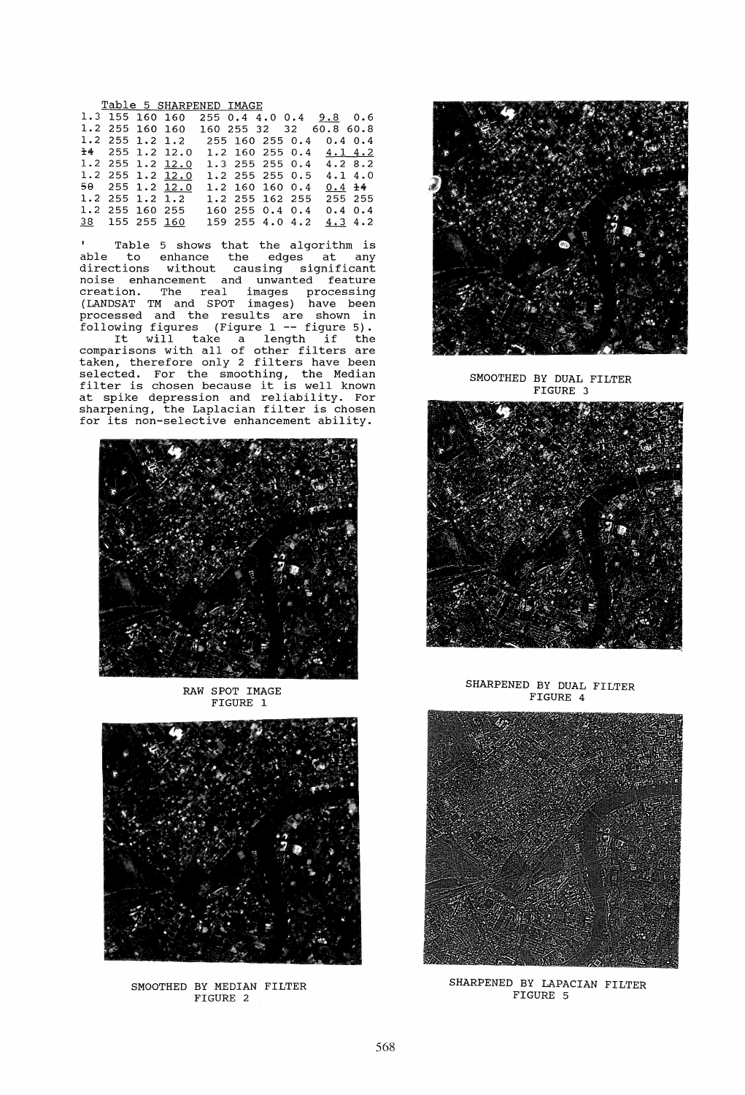Table 5 SHARPENED IMAGE

|  |                 | $\frac{20000}{200000}$          |  |                 |                           |              |
|--|-----------------|---------------------------------|--|-----------------|---------------------------|--------------|
|  | 1.3 155 160 160 |                                 |  |                 | 255 0.4 4.0 0.4 9.8 0.6   |              |
|  | 1.2 255 160 160 |                                 |  |                 | 160 255 32 32 60.8 60.8   |              |
|  |                 | 1.2 255 1.2 1.2 255 160 255 0.4 |  |                 |                           | $0.4 \, 0.4$ |
|  |                 | $\pm 4$ 255 1.2 12.0            |  |                 | $1.2$ 160 255 0.4 4.1 4.2 |              |
|  |                 | 1.2 255 1.2 12.0                |  | 1.3 255 255 0.4 |                           | 4.28.2       |
|  |                 | $1.2$ 255 1.2 12.0              |  | 1.2 255 255 0.5 |                           | 4.14.0       |
|  |                 | 50 255 1.2 12.0                 |  | 1.2 160 160 0.4 |                           | $0.4 \pm 4$  |
|  |                 | $1.2$ 255 1.2 1.2               |  | 1.2 255 162 255 |                           | 255 255      |
|  | 1.2 255 160 255 |                                 |  | 160 255 0.4 0.4 |                           | $0.4 \ 0.4$  |
|  | 38 155 255 160  |                                 |  | 159 255 4.0 4.2 |                           | 4.34.2       |
|  |                 |                                 |  |                 |                           |              |

Table 5 shows that the algorithm is able to enhance the edges at any directions without causing significant noise enhancement and unwanted feature creation. The real images processing (LANDSAT TM and SPOT images) have been processed and the results are shown in processed and the resures are shown in<br>following figures (Figure 1 -- figure 5). wing rigures (rigure 1 - rigure 3).<br>It will take a length if the comparisons with all of other filters are taken, therefore only 2 filters have been selected. For the smoothing, the Median filter is chosen because it is well known at spike depression and reliability. For at spike depression and reflability. For<br>sharpening, the Laplacian filter is chosen sharpening, the mapiacian fifter is chosen<br>for its non-selective enhancement ability.



RAW SPOT IMAGE FIGURE 1



SMOOTHED BY MEDIAN FILTER FIGURE 2



SMOOTHED BY DUAL FILTER FIGURE 3



SHARPENED BY DUAL FILTER FIGURE 4



SHARPENED BY LAPACIAN FILTER FIGURE 5